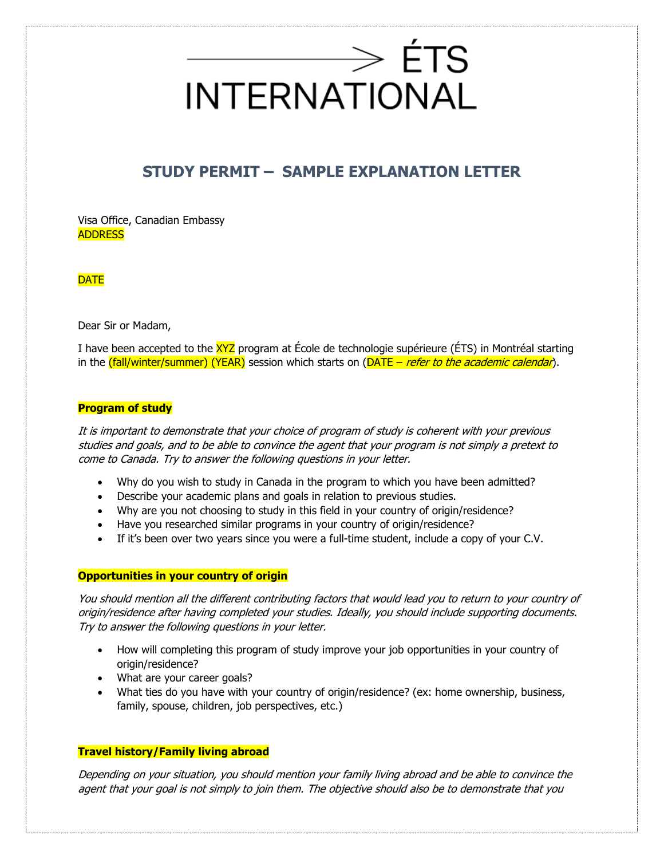## $\longrightarrow$  ÉTS **INTERNATIONAL**

## **STUDY PERMIT – SAMPLE EXPLANATION LETTER**

Visa Office, Canadian Embassy ADDRESS

**DATE** 

Dear Sir or Madam,

I have been accepted to the XYZ program at École de technologie supérieure (ÉTS) in Montréal starting in the (fall/winter/summer) (YEAR) session which starts on (DATE – refer to the academic calendar).

## **Program of study**

It is important to demonstrate that your choice of program of study is coherent with your previous studies and goals, and to be able to convince the agent that your program is not simply a pretext to come to Canada. Try to answer the following questions in your letter.

- Why do you wish to study in Canada in the program to which you have been admitted?
- Describe your academic plans and goals in relation to previous studies.
- Why are you not choosing to study in this field in your country of origin/residence?
- Have you researched similar programs in your country of origin/residence?
- If it's been over two years since you were a full-time student, include a copy of your C.V.

#### **Opportunities in your country of origin**

You should mention all the different contributing factors that would lead you to return to your country of origin/residence after having completed your studies. Ideally, you should include supporting documents. Try to answer the following questions in your letter.

- How will completing this program of study improve your job opportunities in your country of origin/residence?
- What are your career goals?
- What ties do you have with your country of origin/residence? (ex: home ownership, business, family, spouse, children, job perspectives, etc.)

## **Travel history/Family living abroad**

Depending on your situation, you should mention your family living abroad and be able to convince the agent that your goal is not simply to join them. The objective should also be to demonstrate that you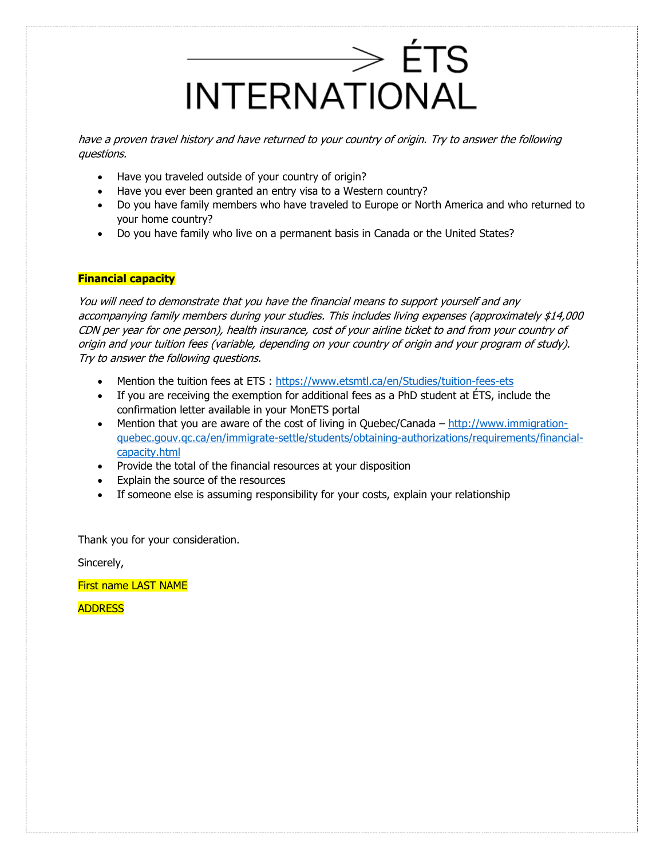

have a proven travel history and have returned to your country of origin. Try to answer the following questions.

- Have you traveled outside of your country of origin?
- Have you ever been granted an entry visa to a Western country?
- Do you have family members who have traveled to Europe or North America and who returned to your home country?
- Do you have family who live on a permanent basis in Canada or the United States?

## **Financial capacity**

You will need to demonstrate that you have the financial means to support yourself and any accompanying family members during your studies. This includes living expenses (approximately \$14,000 CDN per year for one person), health insurance, cost of your airline ticket to and from your country of origin and your tuition fees (variable, depending on your country of origin and your program of study). Try to answer the following questions.

- Mention the tuition fees at ETS :<https://www.etsmtl.ca/en/Studies/tuition-fees-ets>
- If you are receiving the exemption for additional fees as a PhD student at ÉTS, include the confirmation letter available in your MonETS portal
- Mention that you are aware of the cost of living in Quebec/Canada  $-\frac{http://www.immigration-}{$ [quebec.gouv.qc.ca/en/immigrate-settle/students/obtaining-authorizations/requirements/financial](http://www.immigration-quebec.gouv.qc.ca/en/immigrate-settle/students/obtaining-authorizations/requirements/financial-capacity.html)[capacity.html](http://www.immigration-quebec.gouv.qc.ca/en/immigrate-settle/students/obtaining-authorizations/requirements/financial-capacity.html)
- Provide the total of the financial resources at your disposition
- Explain the source of the resources
- If someone else is assuming responsibility for your costs, explain your relationship

Thank you for your consideration.

Sincerely,

First name LAST NAME

**ADDRESS**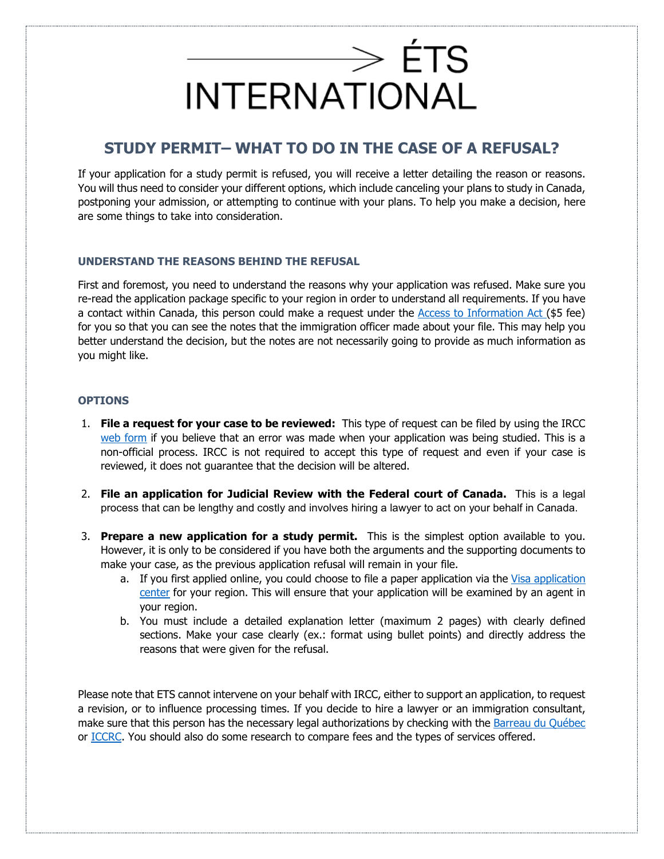

## **STUDY PERMIT– WHAT TO DO IN THE CASE OF A REFUSAL?**

If your application for a study permit is refused, you will receive a letter detailing the reason or reasons. You will thus need to consider your different options, which include canceling your plans to study in Canada, postponing your admission, or attempting to continue with your plans. To help you make a decision, here are some things to take into consideration.

## **UNDERSTAND THE REASONS BEHIND THE REFUSAL**

First and foremost, you need to understand the reasons why your application was refused. Make sure you re-read the application package specific to your region in order to understand all requirements. If you have a contact within Canada, this person could make a request under the [Access to Information Act \(](https://www.canada.ca/en/immigration-refugees-citizenship/corporate/transparency/access-information-privacy/requests-information-act.html)\$5 fee) for you so that you can see the notes that the immigration officer made about your file. This may help you better understand the decision, but the notes are not necessarily going to provide as much information as you might like.

### **OPTIONS**

- 1. **File a request for your case to be reviewed:** This type of request can be filed by using the IRCC [web form](https://secure.cic.gc.ca/enquiries-renseignements/canada-case-cas-eng.aspx?AspxAutoDetectCookieSupport=1) if you believe that an error was made when your application was being studied. This is a non-official process. IRCC is not required to accept this type of request and even if your case is reviewed, it does not guarantee that the decision will be altered.
- 2. **File an application for Judicial Review with the Federal court of Canada.** This is a legal process that can be lengthy and costly and involves hiring a lawyer to act on your behalf in Canada.
- 3. **Prepare a new application for a study permit.** This is the simplest option available to you. However, it is only to be considered if you have both the arguments and the supporting documents to make your case, as the previous application refusal will remain in your file.
	- a. If you first applied online, you could choose to file a paper application via the [Visa application](https://www.canada.ca/en/immigration-refugees-citizenship/corporate/contact-ircc/offices/find-visa-application-centre.html)  [center](https://www.canada.ca/en/immigration-refugees-citizenship/corporate/contact-ircc/offices/find-visa-application-centre.html) for your region. This will ensure that your application will be examined by an agent in your region.
	- b. You must include a detailed explanation letter (maximum 2 pages) with clearly defined sections. Make your case clearly (ex.: format using bullet points) and directly address the reasons that were given for the refusal.

Please note that ETS cannot intervene on your behalf with IRCC, either to support an application, to request a revision, or to influence processing times. If you decide to hire a lawyer or an immigration consultant, make sure that this person has the necessary legal authorizations by checking with the [Barreau du](https://www.barreau.qc.ca/en/doing-business-with-lawyer/verifying-status-lawyer/) Québec or [ICCRC.](https://iccrc-crcic.ca/find-a-professional-frame-french/) You should also do some research to compare fees and the types of services offered.